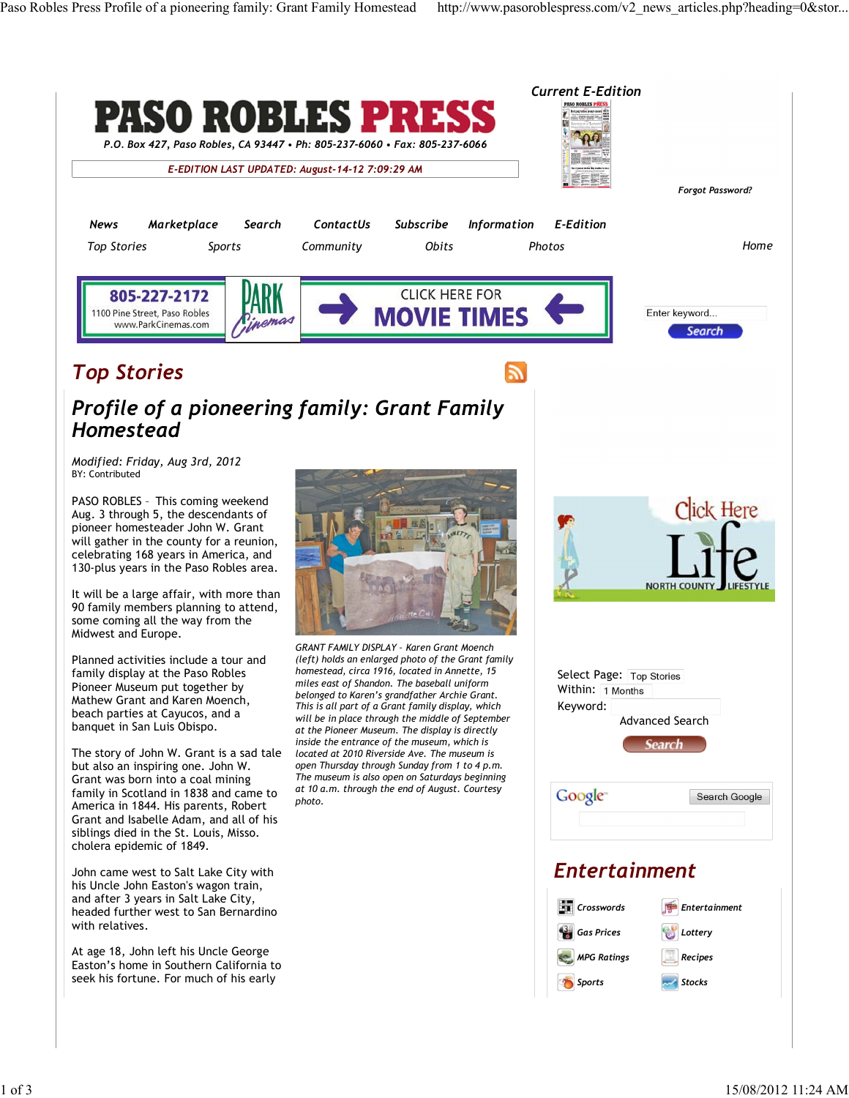